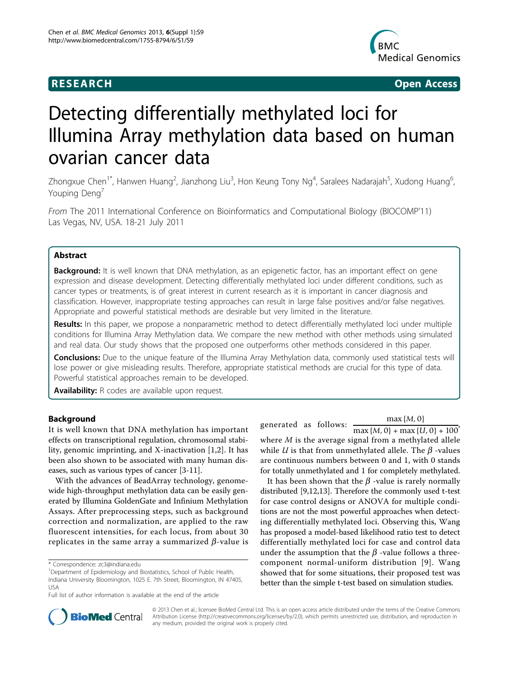

**RESEARCH CHRISTIAN CONSUMING CONTRACT CONSUMING CONSUMING CONSUMING CONSUMING CONSUMING CONSUMING CONSUMING CO** 

# Detecting differentially methylated loci for Illumina Array methylation data based on human ovarian cancer data

Zhongxue Chen<sup>1\*</sup>, Hanwen Huang<sup>2</sup>, Jianzhong Liu<sup>3</sup>, Hon Keung Tony Ng<sup>4</sup>, Saralees Nadarajah<sup>5</sup>, Xudong Huang<sup>6</sup> .<br>, Youping Deng<sup>7</sup>

From The 2011 International Conference on Bioinformatics and Computational Biology (BIOCOMP'11) Las Vegas, NV, USA. 18-21 July 2011

# Abstract

**Background:** It is well known that DNA methylation, as an epigenetic factor, has an important effect on gene expression and disease development. Detecting differentially methylated loci under different conditions, such as cancer types or treatments, is of great interest in current research as it is important in cancer diagnosis and classification. However, inappropriate testing approaches can result in large false positives and/or false negatives. Appropriate and powerful statistical methods are desirable but very limited in the literature.

Results: In this paper, we propose a nonparametric method to detect differentially methylated loci under multiple conditions for Illumina Array Methylation data. We compare the new method with other methods using simulated and real data. Our study shows that the proposed one outperforms other methods considered in this paper.

Conclusions: Due to the unique feature of the Illumina Array Methylation data, commonly used statistical tests will lose power or give misleading results. Therefore, appropriate statistical methods are crucial for this type of data. Powerful statistical approaches remain to be developed.

Availability: R codes are available upon request.

# Background

It is well known that DNA methylation has important effects on transcriptional regulation, chromosomal stability, genomic imprinting, and X-inactivation [[1,2\]](#page-5-0). It has been also shown to be associated with many human diseases, such as various types of cancer [\[3-11](#page-5-0)].

With the advances of BeadArray technology, genomewide high-throughput methylation data can be easily generated by Illumina GoldenGate and Infinium Methylation Assays. After preprocessing steps, such as background correction and normalization, are applied to the raw fluorescent intensities, for each locus, from about 30 replicates in the same array a summarized  $\beta$ -value is

generated as follows:  $\frac{\max\{M, 0\}}{\max\{M, 0\} + \max\{U, 0\} + 100}$ where  $M$  is the average signal from a methylated allele while *U* is that from unmethylated allele. The  $\beta$  -values are continuous numbers between 0 and 1, with 0 stands for totally unmethylated and 1 for completely methylated.

It has been shown that the  $\beta$  -value is rarely normally distributed [[9](#page-5-0),[12,13](#page-5-0)]. Therefore the commonly used t-test for case control designs or ANOVA for multiple conditions are not the most powerful approaches when detecting differentially methylated loci. Observing this, Wang has proposed a model-based likelihood ratio test to detect differentially methylated loci for case and control data under the assumption that the  $\beta$  -value follows a threecomponent normal-uniform distribution [[9\]](#page-5-0). Wang showed that for some situations, their proposed test was better than the simple t-test based on simulation studies.



© 2013 Chen et al.; licensee BioMed Central Ltd. This is an open access article distributed under the terms of the Creative Commons Attribution License [\(http://creativecommons.org/licenses/by/2.0](http://creativecommons.org/licenses/by/2.0)), which permits unrestricted use, distribution, and reproduction in any medium, provided the original work is properly cited.

<sup>\*</sup> Correspondence: [zc3@indiana.edu](mailto:zc3@indiana.edu)

<sup>&</sup>lt;sup>1</sup>Department of Epidemiology and Biostatistics, School of Public Health, Indiana University Bloomington, 1025 E. 7th Street, Bloomington, IN 47405, USA

Full list of author information is available at the end of the article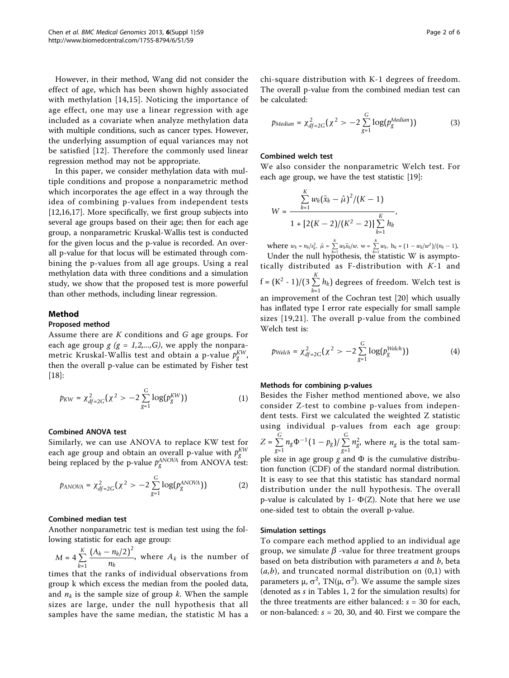However, in their method, Wang did not consider the effect of age, which has been shown highly associated with methylation [[14,15](#page-5-0)]. Noticing the importance of age effect, one may use a linear regression with age included as a covariate when analyze methylation data with multiple conditions, such as cancer types. However, the underlying assumption of equal variances may not be satisfied [[12](#page-5-0)]. Therefore the commonly used linear regression method may not be appropriate.

In this paper, we consider methylation data with multiple conditions and propose a nonparametric method which incorporates the age effect in a way through the idea of combining p-values from independent tests [[12,16,17\]](#page-5-0). More specifically, we first group subjects into several age groups based on their age; then for each age group, a nonparametric Kruskal-Wallis test is conducted for the given locus and the p-value is recorded. An overall p-value for that locus will be estimated through combining the p-values from all age groups. Using a real methylation data with three conditions and a simulation study, we show that the proposed test is more powerful than other methods, including linear regression.

# Method

#### Proposed method

Assume there are  $K$  conditions and  $G$  age groups. For each age group  $g$  ( $g = 1,2,...,G$ ), we apply the nonparametric Kruskal-Wallis test and obtain a p-value  $p_{g}^{KW,}% =\frac{1}{2}q_{g}^{AU,}% =\frac{1}{2}q_{g}^{AU,}% =\frac{1}{2}q_{g}^{AU,}% =\frac{1}{2}q_{g}^{AU,}% =\frac{1}{2}q_{g}^{AU,}%$ then the overall p-value can be estimated by Fisher test [[18\]](#page-5-0):

$$
p_{KW} = \chi^2_{df=2G}(\chi^2 > -2\sum_{g=1}^G \log(p_g^{KW})) \tag{1}
$$

# Combined ANOVA test

Similarly, we can use ANOVA to replace KW test for each age group and obtain an overall p-value with  $p_{g}^{KW}$ <br>being replaced by the p-value  $p_{g}^{ANOVA}$  from ANOVA test:

$$
p_{ANOVA} = \chi_{df=2G}^2(\chi^2 > -2\sum_{g=1}^G \log(p_g^{ANOVA}))
$$
 (2)

#### Combined median test

Another nonparametric test is median test using the following statistic for each age group:

 $M = 4\sum_{k=1}^{K}$ *k*=1  $(A_k - n_k/2)^2$  $\frac{n_k}{n_k}$ , where  $A_k$  is the number of

times that the ranks of individual observations from group k which excess the median from the pooled data, and  $n_k$  is the sample size of group k. When the sample sizes are large, under the null hypothesis that all samples have the same median, the statistic M has a chi-square distribution with K-1 degrees of freedom. The overall p-value from the combined median test can be calculated:

$$
p_{Median} = \chi_{df=2G}^2(\chi^2 > -2\sum_{g=1}^G \log(p_g^{Median}))
$$
 (3)

#### Combined welch test

We also consider the nonparametric Welch test. For each age group, we have the test statistic [[19](#page-5-0)]:

$$
W = \frac{\sum_{k=1}^{K} w_k (\bar{x}_k - \hat{\mu})^2 / (K - 1)}{1 + [2(K - 2)/(K^2 - 2)] \sum_{k=1}^{K} h_k},
$$

where  $w_k = n_k / s_k^2$ ,  $\hat{\mu} = \sum_{k=1}^{K}$  $\sum_{k=1}^{K} w_k \bar{x}_k/w, \text{ w} = \sum_{k=1}^{K}$  $\sum_{k=1}^{\infty} w_k$ ,  $h_k = (1 - w_k/w^2)/(n_k - 1)$ . Under the null hypothesis, the statistic W is asymptotically distributed as F-distribution with  $K-1$  and  $f = (K^2 - 1)/(3 \sum_{k=1}^{K}$  $\sum_{k=1} h_k$ ) degrees of freedom. Welch test is an improvement of the Cochran test [\[20](#page-5-0)] which usually has inflated type I error rate especially for small sample sizes [[19,21](#page-5-0)]. The overall p-value from the combined Welch test is:

$$
p_{Welch} = \chi_{df=2G}^2(\chi^2 > -2\sum_{g=1}^G \log(p_g^{Welch}))
$$
 (4)

#### Methods for combining p-values

Besides the Fisher method mentioned above, we also consider Z-test to combine p-values from independent tests. First we calculated the weighted Z statistic using individual p-values from each age group:  $Z = \sum^{G}$  $\sum_{g=1}^G n_g \Phi^{-1}(1-p_g)/\sum_{g=1}^G$  $\sum_{g=1} n_g^2$ , where  $n_g$  is the total sample size in age group g and  $\Phi$  is the cumulative distribution function (CDF) of the standard normal distribution. It is easy to see that this statistic has standard normal distribution under the null hypothesis. The overall p-value is calculated by 1-  $\Phi(Z)$ . Note that here we use one-sided test to obtain the overall p-value.

#### Simulation settings

To compare each method applied to an individual age group, we simulate  $\beta$  -value for three treatment groups based on beta distribution with parameters  $a$  and  $b$ , beta  $(a,b)$ , and truncated normal distribution on  $(0,1)$  with parameters μ,  $\sigma^2$ , TN(μ,  $\sigma^2$ ). We assume the sample sizes (denoted as s in Tables [1, 2](#page-2-0) for the simulation results) for the three treatments are either balanced:  $s = 30$  for each, or non-balanced:  $s = 20$ , 30, and 40. First we compare the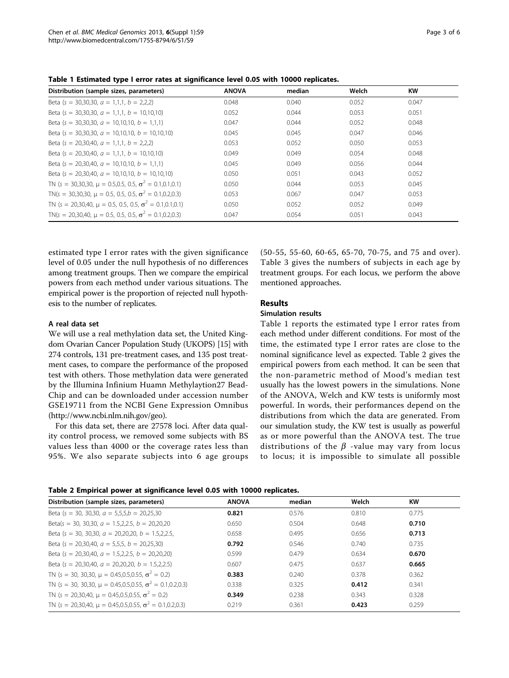<span id="page-2-0"></span>

|  | Table 1 Estimated type I error rates at significance level 0.05 with 10000 replicates. |  |  |  |  |  |  |  |  |  |  |  |
|--|----------------------------------------------------------------------------------------|--|--|--|--|--|--|--|--|--|--|--|
|--|----------------------------------------------------------------------------------------|--|--|--|--|--|--|--|--|--|--|--|

| . .                                                                |              |        |       |           |
|--------------------------------------------------------------------|--------------|--------|-------|-----------|
| Distribution (sample sizes, parameters)                            | <b>ANOVA</b> | median | Welch | <b>KW</b> |
| Beta (s = 30,30,30, $a = 1,1,1, b = 2,2,2$ )                       | 0.048        | 0.040  | 0.052 | 0.047     |
| Beta $(s = 30.30.30, a = 1.1.1, b = 10.10.10)$                     | 0.052        | 0.044  | 0.053 | 0.051     |
| Beta (s = 30,30,30, $a = 10,10,10, b = 1.1.1$ )                    | 0.047        | 0.044  | 0.052 | 0.048     |
| Beta (s = 30.30.30, $a = 10.10.10$ , $b = 10.10.10$ )              | 0.045        | 0.045  | 0.047 | 0.046     |
| Beta $(s = 20.30.40, a = 1.1.1, b = 2.2.2)$                        | 0.053        | 0.052  | 0.050 | 0.053     |
| Beta (s = 20,30,40, $a = 1,1,1, b = 10,10,10$ )                    | 0.049        | 0.049  | 0.054 | 0.048     |
| Beta (s = 20.30.40, $a = 10.10.10$ , $b = 1.1.1$ )                 | 0.045        | 0.049  | 0.056 | 0.044     |
| Beta $(s = 20.30.40, a = 10.10.10, b = 10.10.10)$                  | 0.050        | 0.051  | 0.043 | 0.052     |
| TN (s = 30,30,30, $\mu$ = 0.5,0.5, 0.5, $\sigma^2$ = 0.1,0.1,0.1)  | 0.050        | 0.044  | 0.053 | 0.045     |
| TN(s = 30,30,30, $\mu$ = 0.5, 0.5, 0.5, $\sigma^2$ = 0.1,0.2,0.3)  | 0.053        | 0.067  | 0.047 | 0.053     |
| TN (s = 20,30,40, $\mu$ = 0.5, 0.5, 0.5, $\sigma^2$ = 0.1,0.1,0.1) | 0.050        | 0.052  | 0.052 | 0.049     |
| TN(s = 20.30.40, u = 0.5, 0.5, 0.5, $\sigma^2$ = 0.1.0.2.0.3)      | 0.047        | 0.054  | 0.051 | 0.043     |

estimated type I error rates with the given significance level of 0.05 under the null hypothesis of no differences among treatment groups. Then we compare the empirical powers from each method under various situations. The empirical power is the proportion of rejected null hypothesis to the number of replicates.

# A real data set

We will use a real methylation data set, the United Kingdom Ovarian Cancer Population Study (UKOPS) [[15](#page-5-0)] with 274 controls, 131 pre-treatment cases, and 135 post treatment cases, to compare the performance of the proposed test with others. Those methylation data were generated by the Illumina Infinium Huamn Methylaytion27 Bead-Chip and can be downloaded under accession number GSE19711 from the NCBI Gene Expression Omnibus (<http://www.ncbi.nlm.nih.gov/geo>).

For this data set, there are 27578 loci. After data quality control process, we removed some subjects with BS values less than 4000 or the coverage rates less than 95%. We also separate subjects into 6 age groups (50-55, 55-60, 60-65, 65-70, 70-75, and 75 and over). Table [3](#page-3-0) gives the numbers of subjects in each age by treatment groups. For each locus, we perform the above mentioned approaches.

# Results

#### Simulation results

Table 1 reports the estimated type I error rates from each method under different conditions. For most of the time, the estimated type I error rates are close to the nominal significance level as expected. Table 2 gives the empirical powers from each method. It can be seen that the non-parametric method of Mood's median test usually has the lowest powers in the simulations. None of the ANOVA, Welch and KW tests is uniformly most powerful. In words, their performances depend on the distributions from which the data are generated. From our simulation study, the KW test is usually as powerful as or more powerful than the ANOVA test. The true distributions of the  $\beta$  -value may vary from locus to locus; it is impossible to simulate all possible

| Table 2 Empirical power at significance level 0.05 with 10000 replicates. |  |
|---------------------------------------------------------------------------|--|
|---------------------------------------------------------------------------|--|

| Distribution (sample sizes, parameters)                             | <b>ANOVA</b> | median | Welch | <b>KW</b> |  |
|---------------------------------------------------------------------|--------------|--------|-------|-----------|--|
| Beta (s = 30, 30, 30, $a = 5,5,5, b = 20,25,30$                     | 0.821        | 0.576  | 0.810 | 0.775     |  |
| Beta(s = 30, 30.30, $a = 1.5.2.2.5$ , $b = 20.20.20$                | 0.650        | 0.504  | 0.648 | 0.710     |  |
| Beta (s = 30, 30, 30, $a = 20, 20, 20, b = 1.5, 2.2.5$ ,            | 0.658        | 0.495  | 0.656 | 0.713     |  |
| Beta (s = 20.30.40, $a = 5.5.5$ , $b = 20.25.30$ )                  | 0.792        | 0.546  | 0.740 | 0.735     |  |
| Beta $(s = 20.30.40, a = 1.5.2.2.5, b = 20.20.20)$                  | 0.599        | 0.479  | 0.634 | 0.670     |  |
| Beta (s = 20.30.40, $a = 20.20.20$ , $b = 1.5.2.2.5$ )              | 0.607        | 0.475  | 0.637 | 0.665     |  |
| TN (s = 30, 30,30, $\mu$ = 0.45,0.5,0.55, $\sigma^2$ = 0.2)         | 0.383        | 0.240  | 0.378 | 0.362     |  |
| TN (s = 30, 30,30, $\mu$ = 0.45,0.5,0.55, $\sigma^2$ = 0.1,0.2,0.3) | 0.338        | 0.325  | 0.412 | 0.341     |  |
| TN (s = 20,30,40, $\mu$ = 0.45,0.5,0.55, $\sigma^2$ = 0.2)          | 0.349        | 0.238  | 0.343 | 0.328     |  |
| TN (s = 20,30,40, $\mu$ = 0.45,0.5,0.55, $\sigma^2$ = 0.1,0.2,0.3)  | 0.219        | 0.361  | 0.423 | 0.259     |  |
|                                                                     |              |        |       |           |  |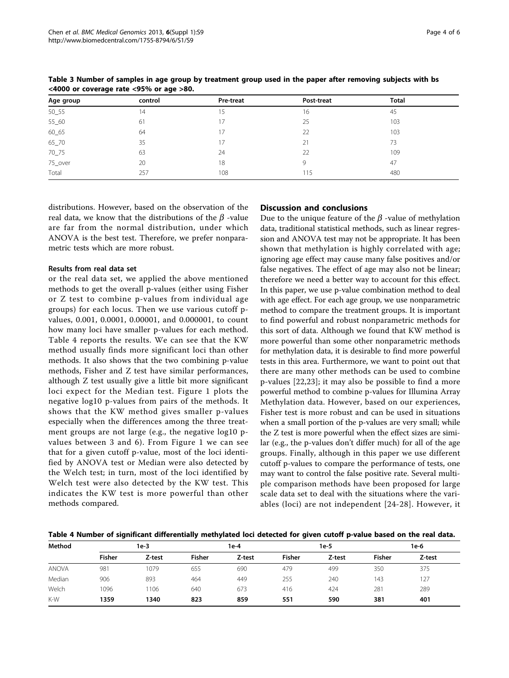| Age group | control | Pre-treat | Post-treat | <b>Total</b> |  |
|-----------|---------|-----------|------------|--------------|--|
| 50_55     | 14      | 15        | 16         | 45           |  |
| 55_60     | 61      |           | 25         | 103          |  |
| 60_65     | 64      | 17        | 22         | 103          |  |
| 65_70     | 35      |           | 21         | 73           |  |
| $70 - 75$ | 63      | 24        | 22         | 109          |  |
| 75_over   | 20      | 18        | 9          | 47           |  |
| Total     | 257     | 108       | 115        | 480          |  |

<span id="page-3-0"></span>Table 3 Number of samples in age group by treatment group used in the paper after removing subjects with bs <4000 or coverage rate <95% or age >80.

distributions. However, based on the observation of the real data, we know that the distributions of the  $\beta$  -value are far from the normal distribution, under which ANOVA is the best test. Therefore, we prefer nonparametric tests which are more robust.

# Results from real data set

or the real data set, we applied the above mentioned methods to get the overall p-values (either using Fisher or Z test to combine p-values from individual age groups) for each locus. Then we use various cutoff pvalues, 0.001, 0.0001, 0.00001, and 0.000001, to count how many loci have smaller p-values for each method. Table 4 reports the results. We can see that the KW method usually finds more significant loci than other methods. It also shows that the two combining p-value methods, Fisher and Z test have similar performances, although Z test usually give a little bit more significant loci expect for the Median test. Figure [1](#page-4-0) plots the negative log10 p-values from pairs of the methods. It shows that the KW method gives smaller p-values especially when the differences among the three treatment groups are not large (e.g., the negative log10 pvalues between 3 and 6). From Figure [1](#page-4-0) we can see that for a given cutoff p-value, most of the loci identified by ANOVA test or Median were also detected by the Welch test; in turn, most of the loci identified by Welch test were also detected by the KW test. This indicates the KW test is more powerful than other methods compared.

# Discussion and conclusions

Due to the unique feature of the  $\beta$  -value of methylation data, traditional statistical methods, such as linear regression and ANOVA test may not be appropriate. It has been shown that methylation is highly correlated with age; ignoring age effect may cause many false positives and/or false negatives. The effect of age may also not be linear; therefore we need a better way to account for this effect. In this paper, we use p-value combination method to deal with age effect. For each age group, we use nonparametric method to compare the treatment groups. It is important to find powerful and robust nonparametric methods for this sort of data. Although we found that KW method is more powerful than some other nonparametric methods for methylation data, it is desirable to find more powerful tests in this area. Furthermore, we want to point out that there are many other methods can be used to combine p-values [\[22,23](#page-5-0)]; it may also be possible to find a more powerful method to combine p-values for Illumina Array Methylation data. However, based on our experiences, Fisher test is more robust and can be used in situations when a small portion of the p-values are very small; while the Z test is more powerful when the effect sizes are similar (e.g., the p-values don't differ much) for all of the age groups. Finally, although in this paper we use different cutoff p-values to compare the performance of tests, one may want to control the false positive rate. Several multiple comparison methods have been proposed for large scale data set to deal with the situations where the variables (loci) are not independent [[24-28](#page-5-0)]. However, it

Table 4 Number of significant differentially methylated loci detected for given cutoff p-value based on the real data.

| Method       | 1e-3          |        | 1e-4          |        | 1e-5          |        | 1e-6          |        |
|--------------|---------------|--------|---------------|--------|---------------|--------|---------------|--------|
|              | <b>Fisher</b> | Z-test | <b>Fisher</b> | Z-test | <b>Fisher</b> | Z-test | <b>Fisher</b> | Z-test |
| <b>ANOVA</b> | 981           | 1079   | 655           | 690    | 479           | 499    | 350           | 375    |
| Median       | 906           | 893    | 464           | 449    | 255           | 240    | 143           | 127    |
| Welch        | 1096          | 1106   | 640           | 673    | 416           | 424    | 281           | 289    |
| K-W          | 1359          | 1340   | 823           | 859    | 551           | 590    | 381           | 401    |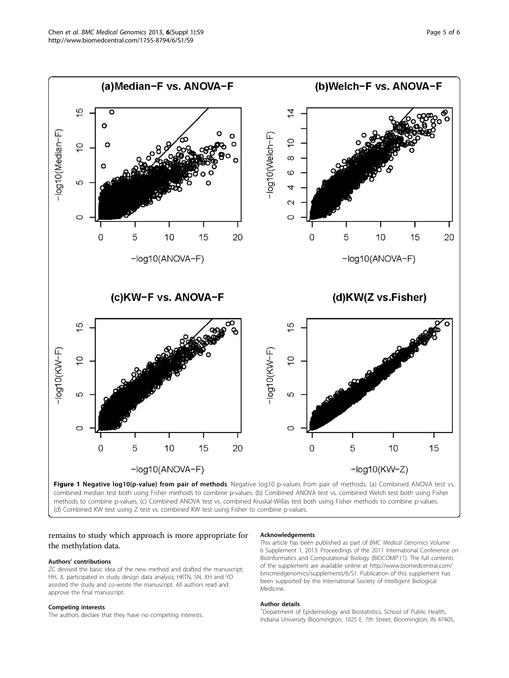<span id="page-4-0"></span>

methods to combine p-values. (c) Combined ANOVA test vs. combined Kruskal-Willas test both using Fisher methods to combine p-values. (d) Combined KW test using Z test vs. combined KW test using Fisher to combine p-values.

# remains to study which approach is more appropriate for the methylation data.

#### Authors' contributions

ZC devised the basic idea of the new method and drafted the manuscript; HH, JL participated in study design data analysis; HKTN, SN, XH and YD assisted the study and co-wrote the manuscript. All authors read and approve the final manuscript.

#### Competing interests

The authors declare that they have no competing interests.

#### Acknowledgements

This article has been published as part of BMC Medical Genomics Volume 6 Supplement 1, 2013: Proceedings of the 2011 International Conference on Bioinformatics and Computational Biology (BIOCOMP'11). The full contents of the supplement are available online at [http://www.biomedcentral.com/](http://www.biomedcentral.com/bmcmedgenomics/supplements/6/S1) [bmcmedgenomics/supplements/6/S1.](http://www.biomedcentral.com/bmcmedgenomics/supplements/6/S1) Publication of this supplement has been supported by the International Society of Intelligent Biological Medicine.

#### Author details

<sup>1</sup>Department of Epidemiology and Biostatistics, School of Public Health Indiana University Bloomington, 1025 E. 7th Street, Bloomington, IN 47405,